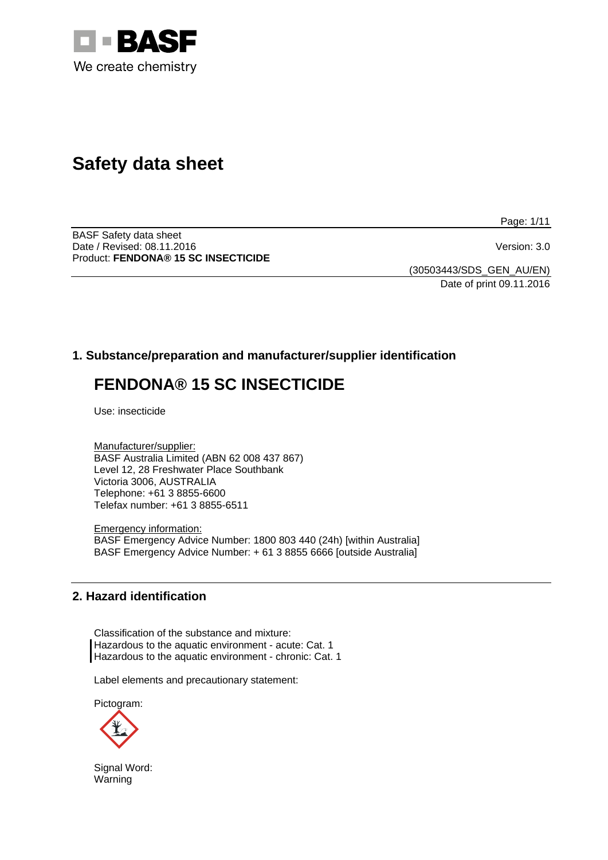

# **Safety data sheet**

Page: 1/11

BASF Safety data sheet Date / Revised: 08.11.2016 Version: 3.0 Product: **FENDONA® 15 SC INSECTICIDE**

(30503443/SDS\_GEN\_AU/EN) Date of print 09.11.2016

### **1. Substance/preparation and manufacturer/supplier identification**

## **FENDONA® 15 SC INSECTICIDE**

Use: insecticide

Manufacturer/supplier: BASF Australia Limited (ABN 62 008 437 867) Level 12, 28 Freshwater Place Southbank Victoria 3006, AUSTRALIA Telephone: +61 3 8855-6600 Telefax number: +61 3 8855-6511

Emergency information: BASF Emergency Advice Number: 1800 803 440 (24h) [within Australia] BASF Emergency Advice Number: + 61 3 8855 6666 [outside Australia]

### **2. Hazard identification**

Classification of the substance and mixture: Hazardous to the aquatic environment - acute: Cat. 1 Hazardous to the aquatic environment - chronic: Cat. 1

Label elements and precautionary statement:

Pictogram:



Signal Word: Warning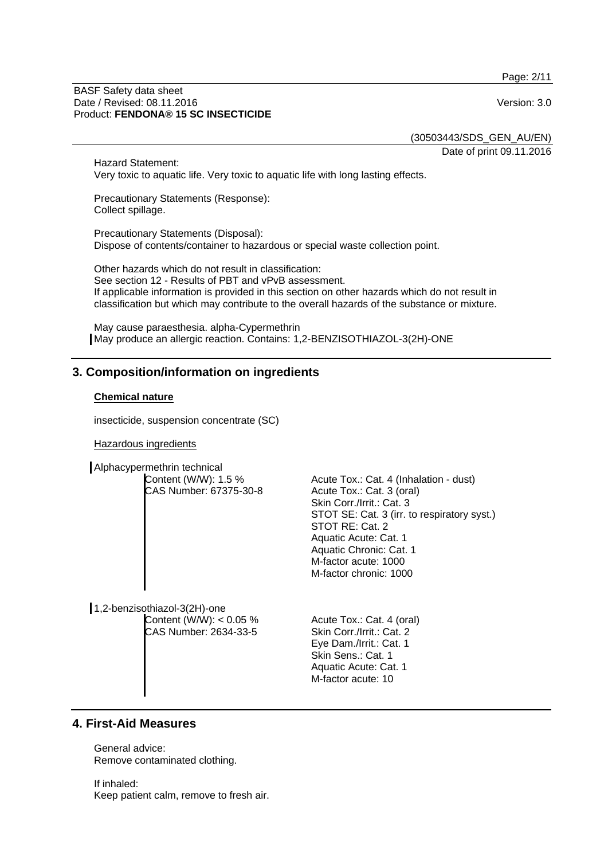Page: 2/11

#### BASF Safety data sheet Date / Revised: 08.11.2016 **Version: 3.0** Product: **FENDONA® 15 SC INSECTICIDE**

(30503443/SDS\_GEN\_AU/EN)

Date of print 09.11.2016

Hazard Statement: Very toxic to aquatic life. Very toxic to aquatic life with long lasting effects.

Precautionary Statements (Response): Collect spillage.

Precautionary Statements (Disposal): Dispose of contents/container to hazardous or special waste collection point.

Other hazards which do not result in classification: See section 12 - Results of PBT and vPvB assessment. If applicable information is provided in this section on other hazards which do not result in classification but which may contribute to the overall hazards of the substance or mixture.

May cause paraesthesia. alpha-Cypermethrin May produce an allergic reaction. Contains: 1,2-BENZISOTHIAZOL-3(2H)-ONE

### **3. Composition/information on ingredients**

### **Chemical nature**

insecticide, suspension concentrate (SC)

Hazardous ingredients

Alphacypermethrin technical

| Content (W/W): 1.5 %                         | Acute Tox.: Cat. 4 (Inhalation - dust)               |
|----------------------------------------------|------------------------------------------------------|
| CAS Number: 67375-30-8                       | Acute Tox.: Cat. 3 (oral)                            |
|                                              | Skin Corr./Irrit.: Cat. 3                            |
|                                              | STOT SE: Cat. 3 (irr. to respiratory syst.)          |
|                                              | STOT RE: Cat. 2                                      |
|                                              | Aquatic Acute: Cat. 1                                |
|                                              | Aquatic Chronic: Cat. 1                              |
|                                              | M-factor acute: 1000                                 |
|                                              | M-factor chronic: 1000                               |
|                                              |                                                      |
|                                              |                                                      |
| sothiazol-3(2H)-one                          |                                                      |
| $O_{\text{cutoff}}(MIM)$ , $O_{\text{C}}(N)$ | $\Lambda$ auta $T$ auta $\Omega$ at $\Lambda$ (aral) |

 $1,2$ -benzis Content (W/W): < 0.05 % CAS Number: 2634-33-5

Acute Tox.: Cat. 4 (oral) Skin Corr./Irrit.: Cat. 2 Eye Dam./Irrit.: Cat. 1 Skin Sens.: Cat. 1 Aquatic Acute: Cat. 1 M-factor acute: 10

### **4. First-Aid Measures**

General advice: Remove contaminated clothing.

If inhaled: Keep patient calm, remove to fresh air.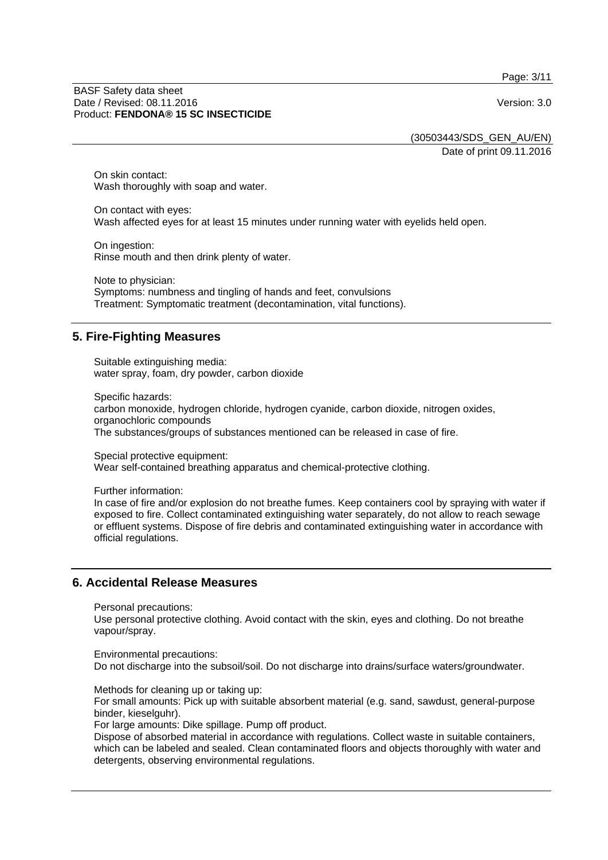Page: 3/11

#### BASF Safety data sheet Date / Revised: 08.11.2016 **Version: 3.0** Product: **FENDONA® 15 SC INSECTICIDE**

(30503443/SDS\_GEN\_AU/EN) Date of print 09.11.2016

On skin contact: Wash thoroughly with soap and water.

On contact with eyes: Wash affected eyes for at least 15 minutes under running water with eyelids held open.

On ingestion: Rinse mouth and then drink plenty of water.

Note to physician: Symptoms: numbness and tingling of hands and feet, convulsions Treatment: Symptomatic treatment (decontamination, vital functions).

### **5. Fire-Fighting Measures**

Suitable extinguishing media: water spray, foam, dry powder, carbon dioxide

Specific hazards: carbon monoxide, hydrogen chloride, hydrogen cyanide, carbon dioxide, nitrogen oxides, organochloric compounds The substances/groups of substances mentioned can be released in case of fire.

Special protective equipment: Wear self-contained breathing apparatus and chemical-protective clothing.

Further information: In case of fire and/or explosion do not breathe fumes. Keep containers cool by spraying with water if exposed to fire. Collect contaminated extinguishing water separately, do not allow to reach sewage or effluent systems. Dispose of fire debris and contaminated extinguishing water in accordance with official regulations.

### **6. Accidental Release Measures**

Personal precautions:

Use personal protective clothing. Avoid contact with the skin, eyes and clothing. Do not breathe vapour/spray.

Environmental precautions:

Do not discharge into the subsoil/soil. Do not discharge into drains/surface waters/groundwater.

Methods for cleaning up or taking up:

For small amounts: Pick up with suitable absorbent material (e.g. sand, sawdust, general-purpose binder, kieselguhr).

For large amounts: Dike spillage. Pump off product.

Dispose of absorbed material in accordance with regulations. Collect waste in suitable containers, which can be labeled and sealed. Clean contaminated floors and objects thoroughly with water and detergents, observing environmental regulations.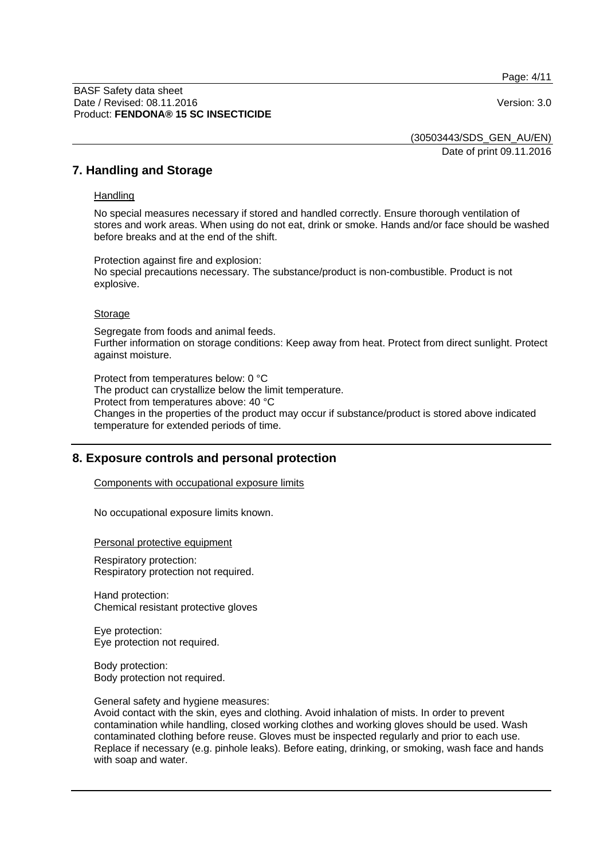Page: 4/11

#### BASF Safety data sheet Date / Revised: 08.11.2016 **Version: 3.0** Product: **FENDONA® 15 SC INSECTICIDE**

(30503443/SDS\_GEN\_AU/EN)

Date of print 09.11.2016

### **7. Handling and Storage**

#### **Handling**

No special measures necessary if stored and handled correctly. Ensure thorough ventilation of stores and work areas. When using do not eat, drink or smoke. Hands and/or face should be washed before breaks and at the end of the shift.

Protection against fire and explosion: No special precautions necessary. The substance/product is non-combustible. Product is not explosive.

#### Storage

Segregate from foods and animal feeds. Further information on storage conditions: Keep away from heat. Protect from direct sunlight. Protect against moisture.

Protect from temperatures below: 0 °C The product can crystallize below the limit temperature. Protect from temperatures above: 40 °C Changes in the properties of the product may occur if substance/product is stored above indicated temperature for extended periods of time.

### **8. Exposure controls and personal protection**

Components with occupational exposure limits

No occupational exposure limits known.

Personal protective equipment

Respiratory protection: Respiratory protection not required.

Hand protection: Chemical resistant protective gloves

Eye protection: Eye protection not required.

Body protection: Body protection not required.

General safety and hygiene measures:

Avoid contact with the skin, eyes and clothing. Avoid inhalation of mists. In order to prevent contamination while handling, closed working clothes and working gloves should be used. Wash contaminated clothing before reuse. Gloves must be inspected regularly and prior to each use. Replace if necessary (e.g. pinhole leaks). Before eating, drinking, or smoking, wash face and hands with soap and water.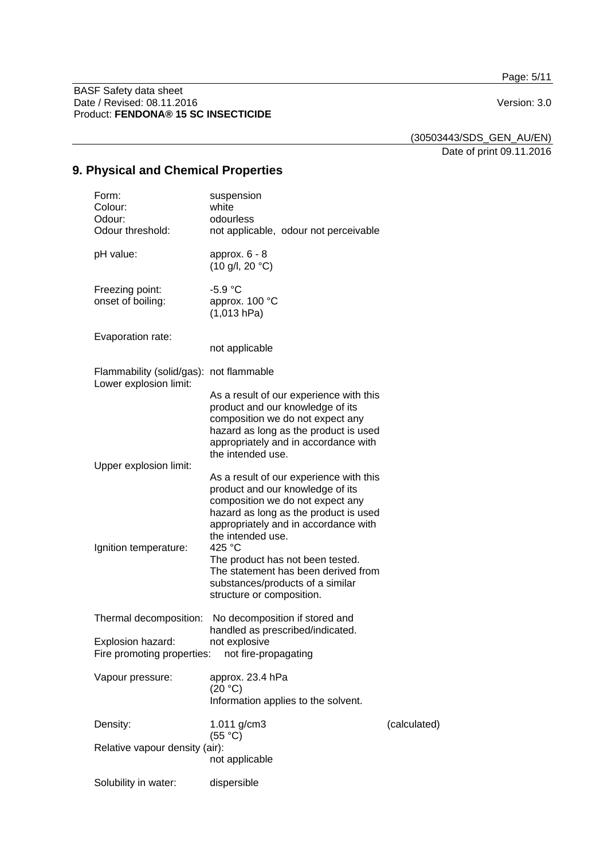Page: 5/11

BASF Safety data sheet Date / Revised: 08.11.2016 Version: 3.0 Product: **FENDONA® 15 SC INSECTICIDE**

(30503443/SDS\_GEN\_AU/EN)

Date of print 09.11.2016

## **9. Physical and Chemical Properties**

| Form:<br>Colour:<br>Odour:<br>Odour threshold:                    | suspension<br>white<br>odourless<br>not applicable, odour not perceivable                                                                                                                                             |              |
|-------------------------------------------------------------------|-----------------------------------------------------------------------------------------------------------------------------------------------------------------------------------------------------------------------|--------------|
| pH value:                                                         | approx. $6 - 8$<br>$(10 \text{ g/l}, 20 \text{ °C})$                                                                                                                                                                  |              |
| Freezing point:<br>onset of boiling:                              | $-5.9 °C$<br>approx. 100 °C<br>(1,013 hPa)                                                                                                                                                                            |              |
| Evaporation rate:                                                 | not applicable                                                                                                                                                                                                        |              |
| Flammability (solid/gas): not flammable<br>Lower explosion limit: |                                                                                                                                                                                                                       |              |
|                                                                   | As a result of our experience with this<br>product and our knowledge of its<br>composition we do not expect any<br>hazard as long as the product is used<br>appropriately and in accordance with<br>the intended use. |              |
| Upper explosion limit:                                            | As a result of our experience with this<br>product and our knowledge of its<br>composition we do not expect any<br>hazard as long as the product is used<br>appropriately and in accordance with<br>the intended use. |              |
| Ignition temperature:                                             | 425 °C<br>The product has not been tested.<br>The statement has been derived from<br>substances/products of a similar<br>structure or composition.                                                                    |              |
| Thermal decomposition:                                            | No decomposition if stored and<br>handled as prescribed/indicated.                                                                                                                                                    |              |
| Explosion hazard:<br>Fire promoting properties:                   | not explosive<br>not fire-propagating                                                                                                                                                                                 |              |
| Vapour pressure:                                                  | approx. 23.4 hPa<br>(20 °C)<br>Information applies to the solvent.                                                                                                                                                    |              |
| Density:                                                          | 1.011 g/cm3<br>(55 °C)                                                                                                                                                                                                | (calculated) |
| Relative vapour density (air):                                    | not applicable                                                                                                                                                                                                        |              |
| Solubility in water:                                              | dispersible                                                                                                                                                                                                           |              |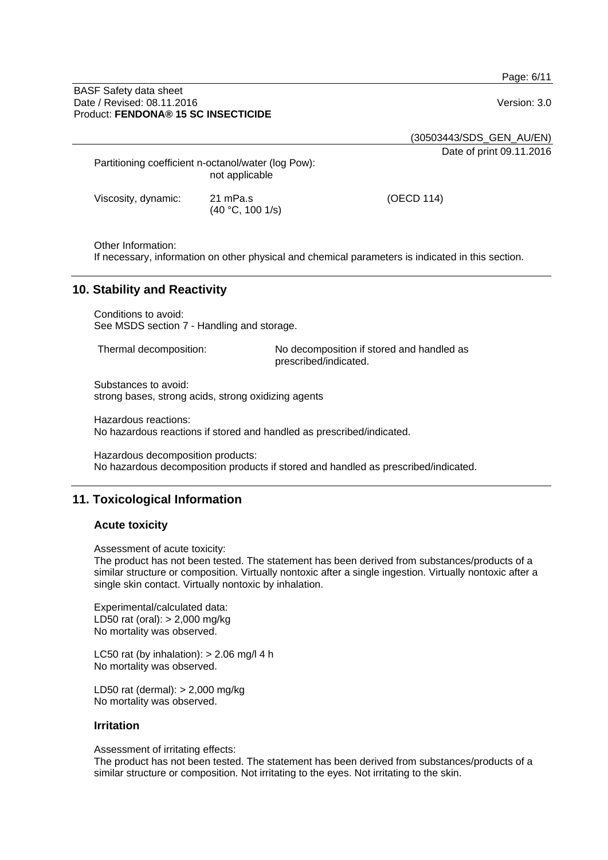Page: 6/11

#### BASF Safety data sheet Date / Revised: 08.11.2016 **Version: 3.0** Product: **FENDONA® 15 SC INSECTICIDE**

(30503443/SDS\_GEN\_AU/EN)

Date of print 09.11.2016

Partitioning coefficient n-octanol/water (log Pow): not applicable

(40 °C, 100 1/s)

Viscosity, dynamic: 21 mPa.s

(OECD 114)

Other Information:

If necessary, information on other physical and chemical parameters is indicated in this section.

### **10. Stability and Reactivity**

Conditions to avoid: See MSDS section 7 - Handling and storage.

Thermal decomposition: No decomposition if stored and handled as prescribed/indicated.

Substances to avoid: strong bases, strong acids, strong oxidizing agents

Hazardous reactions: No hazardous reactions if stored and handled as prescribed/indicated.

Hazardous decomposition products: No hazardous decomposition products if stored and handled as prescribed/indicated.

### **11. Toxicological Information**

#### **Acute toxicity**

Assessment of acute toxicity:

The product has not been tested. The statement has been derived from substances/products of a similar structure or composition. Virtually nontoxic after a single ingestion. Virtually nontoxic after a single skin contact. Virtually nontoxic by inhalation.

Experimental/calculated data: LD50 rat (oral): > 2,000 mg/kg No mortality was observed.

LC50 rat (by inhalation):  $> 2.06$  mg/l 4 h No mortality was observed.

LD50 rat (dermal): > 2,000 mg/kg No mortality was observed.

#### **Irritation**

Assessment of irritating effects:

The product has not been tested. The statement has been derived from substances/products of a similar structure or composition. Not irritating to the eyes. Not irritating to the skin.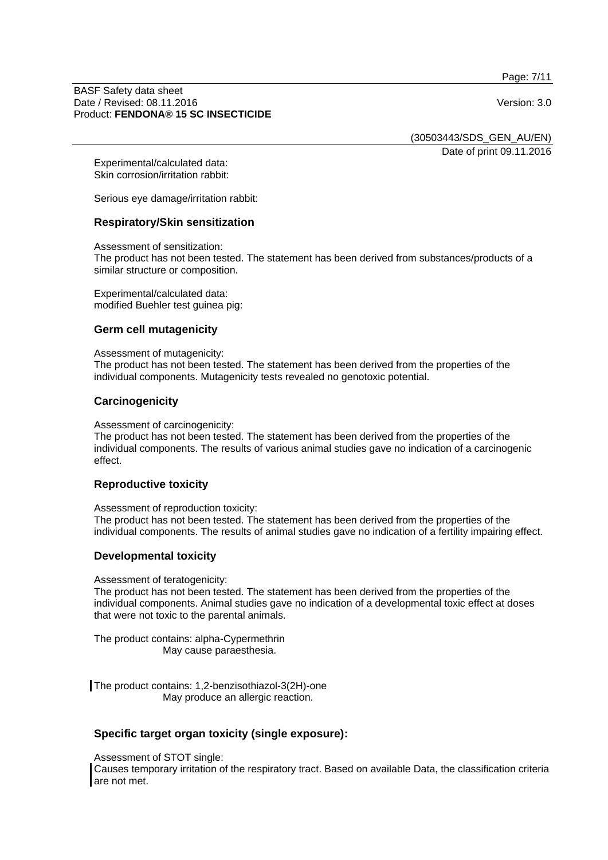Page: 7/11

#### BASF Safety data sheet Date / Revised: 08.11.2016 **Version: 3.0** Product: **FENDONA® 15 SC INSECTICIDE**

(30503443/SDS\_GEN\_AU/EN)

Date of print 09.11.2016

Experimental/calculated data: Skin corrosion/irritation rabbit:

Serious eye damage/irritation rabbit:

### **Respiratory/Skin sensitization**

Assessment of sensitization:

The product has not been tested. The statement has been derived from substances/products of a similar structure or composition.

Experimental/calculated data: modified Buehler test guinea pig:

#### **Germ cell mutagenicity**

Assessment of mutagenicity: The product has not been tested. The statement has been derived from the properties of the individual components. Mutagenicity tests revealed no genotoxic potential.

### **Carcinogenicity**

Assessment of carcinogenicity:

The product has not been tested. The statement has been derived from the properties of the individual components. The results of various animal studies gave no indication of a carcinogenic effect.

#### **Reproductive toxicity**

Assessment of reproduction toxicity: The product has not been tested. The statement has been derived from the properties of the individual components. The results of animal studies gave no indication of a fertility impairing effect.

### **Developmental toxicity**

#### Assessment of teratogenicity:

The product has not been tested. The statement has been derived from the properties of the individual components. Animal studies gave no indication of a developmental toxic effect at doses that were not toxic to the parental animals.

The product contains: alpha-Cypermethrin May cause paraesthesia.

The product contains: 1,2-benzisothiazol-3(2H)-one May produce an allergic reaction.

### **Specific target organ toxicity (single exposure):**

Assessment of STOT single:

Causes temporary irritation of the respiratory tract. Based on available Data, the classification criteria are not met.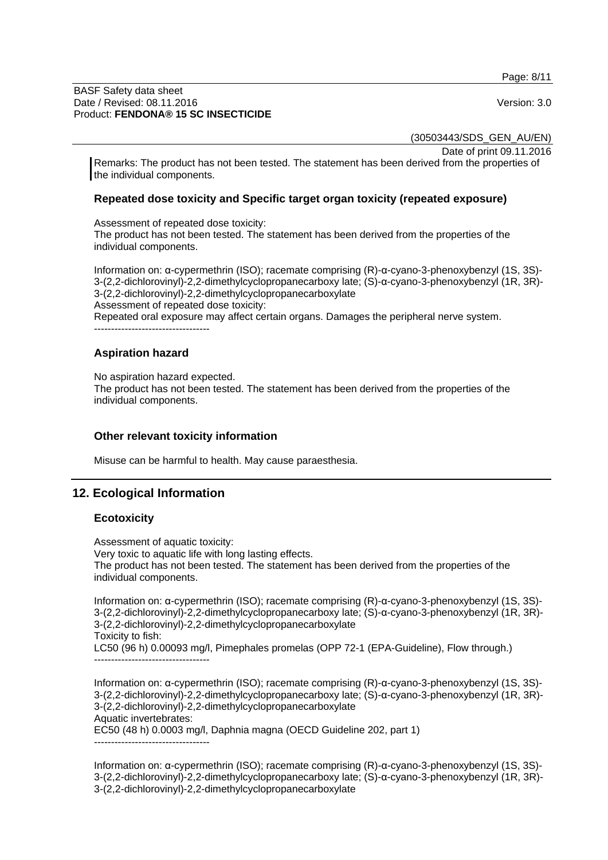Page: 8/11

#### BASF Safety data sheet Date / Revised: 08.11.2016 **Version: 3.0** Product: **FENDONA® 15 SC INSECTICIDE**

(30503443/SDS\_GEN\_AU/EN)

Date of print 09.11.2016

Remarks: The product has not been tested. The statement has been derived from the properties of the individual components.

### **Repeated dose toxicity and Specific target organ toxicity (repeated exposure)**

Assessment of repeated dose toxicity: The product has not been tested. The statement has been derived from the properties of the individual components.

Information on: α-cypermethrin (ISO); racemate comprising (R)-α-cyano-3-phenoxybenzyl (1S, 3S)- 3-(2,2-dichlorovinyl)-2,2-dimethylcyclopropanecarboxy late; (S)-α-cyano-3-phenoxybenzyl (1R, 3R)- 3-(2,2-dichlorovinyl)-2,2-dimethylcyclopropanecarboxylate Assessment of repeated dose toxicity: Repeated oral exposure may affect certain organs. Damages the peripheral nerve system. ----------------------------------

### **Aspiration hazard**

No aspiration hazard expected.

The product has not been tested. The statement has been derived from the properties of the individual components.

### **Other relevant toxicity information**

Misuse can be harmful to health. May cause paraesthesia.

### **12. Ecological Information**

#### **Ecotoxicity**

Assessment of aquatic toxicity: Very toxic to aquatic life with long lasting effects. The product has not been tested. The statement has been derived from the properties of the individual components.

Information on: α-cypermethrin (ISO); racemate comprising (R)-α-cyano-3-phenoxybenzyl (1S, 3S)- 3-(2,2-dichlorovinyl)-2,2-dimethylcyclopropanecarboxy late; (S)-α-cyano-3-phenoxybenzyl (1R, 3R)- 3-(2,2-dichlorovinyl)-2,2-dimethylcyclopropanecarboxylate Toxicity to fish: LC50 (96 h) 0.00093 mg/l, Pimephales promelas (OPP 72-1 (EPA-Guideline), Flow through.) ----------------------------------

Information on: α-cypermethrin (ISO); racemate comprising (R)-α-cyano-3-phenoxybenzyl (1S, 3S)- 3-(2,2-dichlorovinyl)-2,2-dimethylcyclopropanecarboxy late; (S)-α-cyano-3-phenoxybenzyl (1R, 3R)- 3-(2,2-dichlorovinyl)-2,2-dimethylcyclopropanecarboxylate Aquatic invertebrates: EC50 (48 h) 0.0003 mg/l, Daphnia magna (OECD Guideline 202, part 1) ----------------------------------

Information on: α-cypermethrin (ISO); racemate comprising (R)-α-cyano-3-phenoxybenzyl (1S, 3S)- 3-(2,2-dichlorovinyl)-2,2-dimethylcyclopropanecarboxy late; (S)-α-cyano-3-phenoxybenzyl (1R, 3R)- 3-(2,2-dichlorovinyl)-2,2-dimethylcyclopropanecarboxylate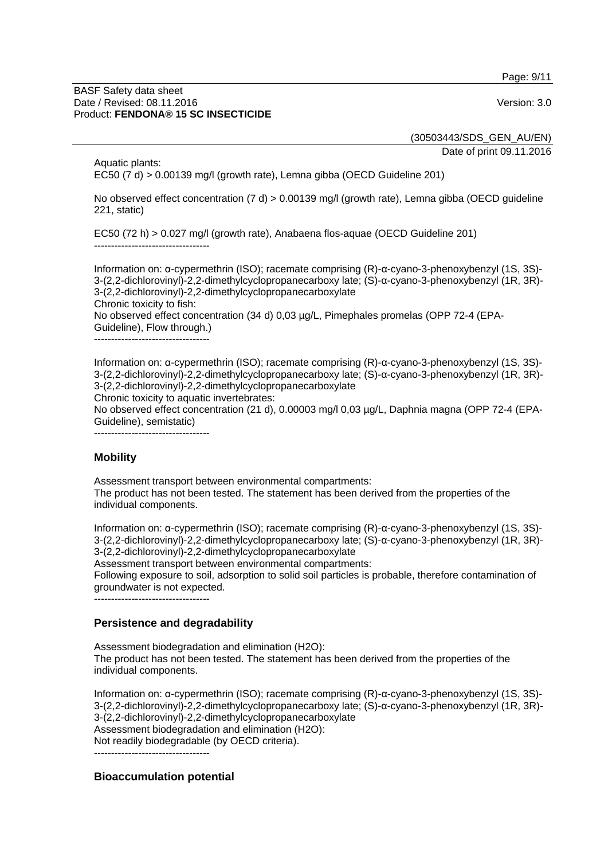Page: 9/11

#### BASF Safety data sheet Date / Revised: 08.11.2016 **Version: 3.0** Product: **FENDONA® 15 SC INSECTICIDE**

(30503443/SDS\_GEN\_AU/EN)

Date of print 09.11.2016

Aquatic plants: EC50 (7 d) > 0.00139 mg/l (growth rate), Lemna gibba (OECD Guideline 201)

No observed effect concentration (7 d) > 0.00139 mg/l (growth rate), Lemna gibba (OECD guideline 221, static)

EC50 (72 h) > 0.027 mg/l (growth rate), Anabaena flos-aquae (OECD Guideline 201) ----------------------------------

Information on: α-cypermethrin (ISO); racemate comprising (R)-α-cyano-3-phenoxybenzyl (1S, 3S)- 3-(2,2-dichlorovinyl)-2,2-dimethylcyclopropanecarboxy late; (S)-α-cyano-3-phenoxybenzyl (1R, 3R)- 3-(2,2-dichlorovinyl)-2,2-dimethylcyclopropanecarboxylate Chronic toxicity to fish: No observed effect concentration (34 d) 0,03 µg/L, Pimephales promelas (OPP 72-4 (EPA-Guideline), Flow through.)

----------------------------------

Information on: α-cypermethrin (ISO); racemate comprising (R)-α-cyano-3-phenoxybenzyl (1S, 3S)- 3-(2,2-dichlorovinyl)-2,2-dimethylcyclopropanecarboxy late; (S)-α-cyano-3-phenoxybenzyl (1R, 3R)- 3-(2,2-dichlorovinyl)-2,2-dimethylcyclopropanecarboxylate

Chronic toxicity to aquatic invertebrates:

No observed effect concentration (21 d), 0.00003 mg/l 0,03 µg/L, Daphnia magna (OPP 72-4 (EPA-Guideline), semistatic)

----------------------------------

### **Mobility**

Assessment transport between environmental compartments:

The product has not been tested. The statement has been derived from the properties of the individual components.

Information on: α-cypermethrin (ISO); racemate comprising (R)-α-cyano-3-phenoxybenzyl (1S, 3S)- 3-(2,2-dichlorovinyl)-2,2-dimethylcyclopropanecarboxy late; (S)-α-cyano-3-phenoxybenzyl (1R, 3R)- 3-(2,2-dichlorovinyl)-2,2-dimethylcyclopropanecarboxylate

Assessment transport between environmental compartments:

Following exposure to soil, adsorption to solid soil particles is probable, therefore contamination of groundwater is not expected.

----------------------------------

### **Persistence and degradability**

Assessment biodegradation and elimination (H2O): The product has not been tested. The statement has been derived from the properties of the individual components.

Information on: α-cypermethrin (ISO); racemate comprising (R)-α-cyano-3-phenoxybenzyl (1S, 3S)- 3-(2,2-dichlorovinyl)-2,2-dimethylcyclopropanecarboxy late; (S)-α-cyano-3-phenoxybenzyl (1R, 3R)- 3-(2,2-dichlorovinyl)-2,2-dimethylcyclopropanecarboxylate Assessment biodegradation and elimination (H2O): Not readily biodegradable (by OECD criteria).

----------------------------------

### **Bioaccumulation potential**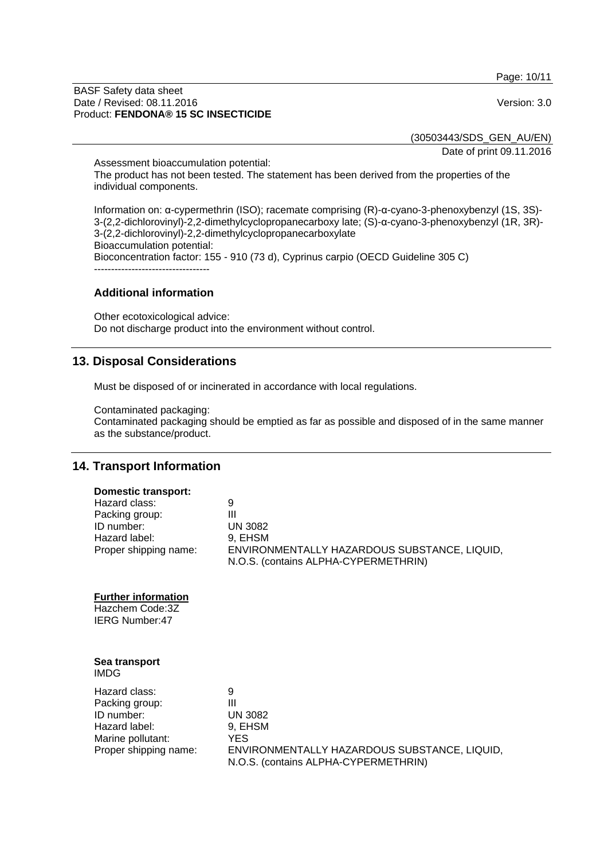Page: 10/11

#### BASF Safety data sheet Date / Revised: 08.11.2016 **Version: 3.0** Product: **FENDONA® 15 SC INSECTICIDE**

(30503443/SDS\_GEN\_AU/EN)

Date of print 09.11.2016

Assessment bioaccumulation potential: The product has not been tested. The statement has been derived from the properties of the individual components.

Information on: α-cypermethrin (ISO); racemate comprising (R)-α-cyano-3-phenoxybenzyl (1S, 3S)- 3-(2,2-dichlorovinyl)-2,2-dimethylcyclopropanecarboxy late; (S)-α-cyano-3-phenoxybenzyl (1R, 3R)- 3-(2,2-dichlorovinyl)-2,2-dimethylcyclopropanecarboxylate Bioaccumulation potential: Bioconcentration factor: 155 - 910 (73 d), Cyprinus carpio (OECD Guideline 305 C) ----------------------------------

### **Additional information**

Other ecotoxicological advice: Do not discharge product into the environment without control.

### **13. Disposal Considerations**

Must be disposed of or incinerated in accordance with local regulations.

Contaminated packaging:

Contaminated packaging should be emptied as far as possible and disposed of in the same manner as the substance/product.

### **14. Transport Information**

### **Domestic transport:**

| Hazard class:         | 9                                            |
|-----------------------|----------------------------------------------|
| Packing group:        | Ш                                            |
| ID number:            | UN 3082                                      |
| Hazard label:         | 9. EHSM                                      |
| Proper shipping name: | ENVIRONMENTALLY HAZARDOUS SUBSTANCE, LIQUID, |
|                       | N.O.S. (contains ALPHA-CYPERMETHRIN)         |

#### **Further information**

Hazchem Code:3Z IERG Number:47

|      | Sea transport |
|------|---------------|
| IMDG |               |

| Hazard class:         | 9                                                                                    |
|-----------------------|--------------------------------------------------------------------------------------|
| Packing group:        | Ш                                                                                    |
| ID number:            | <b>UN 3082</b>                                                                       |
| Hazard label:         | 9. EHSM                                                                              |
| Marine pollutant:     | YES                                                                                  |
| Proper shipping name: | ENVIRONMENTALLY HAZARDOUS SUBSTANCE, LIQUID,<br>N.O.S. (contains ALPHA-CYPERMETHRIN) |